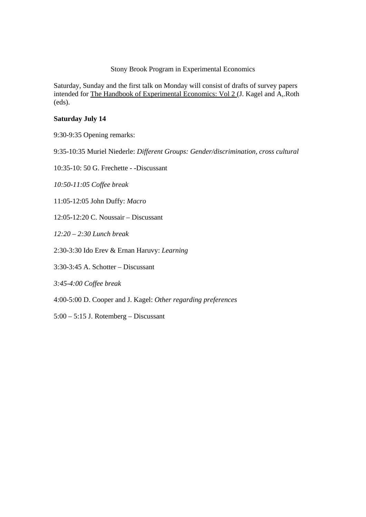## Stony Brook Program in Experimental Economics

Saturday, Sunday and the first talk on Monday will consist of drafts of survey papers intended for The Handbook of Experimental Economics: Vol 2 (J. Kagel and A,.Roth (eds).

## **Saturday July 14**

9:30-9:35 Opening remarks:

9:35-10:35 Muriel Niederle: *Different Groups: Gender/discrimination, cross cultural* 

10:35-10: 50 G. Frechette - -Discussant

*10:50-11:05 Coffee break* 

11:05-12:05 John Duffy: *Macro* 

12:05-12:20 C. Noussair – Discussant

*12:20 – 2:30 Lunch break* 

2:30-3:30 Ido Erev & Ernan Haruvy: *Learning*

3:30-3:45 A. Schotter – Discussant

*3:45-4:00 Coffee break* 

4:00-5:00 D. Cooper and J. Kagel: *Other regarding preferences*

5:00 – 5:15 J. Rotemberg – Discussant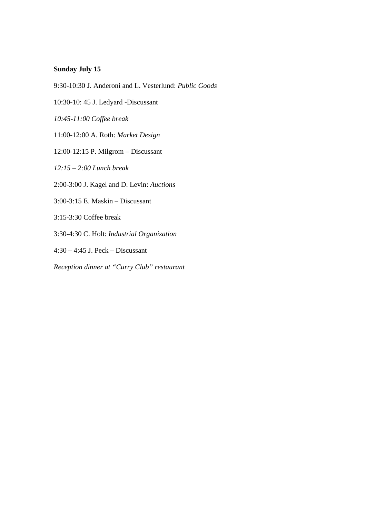## **Sunday July 15**

- 9:30-10:30 J. Anderoni and L. Vesterlund: *Public Goods*
- 10:30-10: 45 J. Ledyard -Discussant
- *10:45-11:00 Coffee break*
- 11:00-12:00 A. Roth: *Market Design*
- 12:00-12:15 P. Milgrom Discussant
- *12:15 2:00 Lunch break*
- 2:00-3:00 J. Kagel and D. Levin: *Auctions*
- 3:00-3:15 E. Maskin Discussant
- 3:15-3:30 Coffee break
- 3:30-4:30 C. Holt: *Industrial Organization*
- 4:30 4:45 J. Peck Discussant
- *Reception dinner at "Curry Club" restaurant*